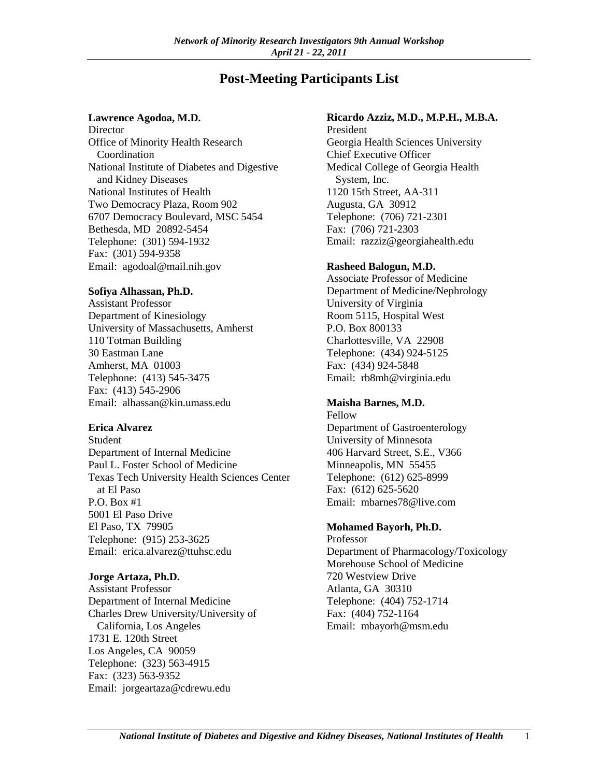# **Post-Meeting Participants List**

#### **Lawrence Agodoa, M.D.**

**Director** Office of Minority Health Research Coordination National Institute of Diabetes and Digestive and Kidney Diseases National Institutes of Health Two Democracy Plaza, Room 902 6707 Democracy Boulevard, MSC 5454 Bethesda, MD 20892-5454 Telephone: (301) 594-1932 Fax: (301) 594-9358 Email: agodoal@mail.nih.gov

### **Sofiya Alhassan, Ph.D.**

Assistant Professor Department of Kinesiology University of Massachusetts, Amherst 110 Totman Building 30 Eastman Lane Amherst, MA 01003 Telephone: (413) 545-3475 Fax: (413) 545-2906 Email: alhassan@kin.umass.edu

#### **Erica Alvarez**

Student Department of Internal Medicine Paul L. Foster School of Medicine Texas Tech University Health Sciences Center at El Paso P.O. Box #1 5001 El Paso Drive El Paso, TX 79905 Telephone: (915) 253-3625 Email: erica.alvarez@ttuhsc.edu

#### **Jorge Artaza, Ph.D.**

Assistant Professor Department of Internal Medicine Charles Drew University/University of California, Los Angeles 1731 E. 120th Street Los Angeles, CA 90059 Telephone: (323) 563-4915 Fax: (323) 563-9352 Email: jorgeartaza@cdrewu.edu

### **Ricardo Azziz, M.D., M.P.H., M.B.A.**

President Georgia Health Sciences University Chief Executive Officer Medical College of Georgia Health System, Inc. 1120 15th Street, AA-311 Augusta, GA 30912 Telephone: (706) 721-2301 Fax: (706) 721-2303 Email: razziz@georgiahealth.edu

#### **Rasheed Balogun, M.D.**

Associate Professor of Medicine Department of Medicine/Nephrology University of Virginia Room 5115, Hospital West P.O. Box 800133 Charlottesville, VA 22908 Telephone: (434) 924-5125 Fax: (434) 924-5848 Email: rb8mh@virginia.edu

# **Maisha Barnes, M.D.**

Fellow Department of Gastroenterology University of Minnesota 406 Harvard Street, S.E., V366 Minneapolis, MN 55455 Telephone: (612) 625-8999 Fax: (612) 625-5620 Email: mbarnes78@live.com

# **Mohamed Bayorh, Ph.D.**

Professor Department of Pharmacology/Toxicology Morehouse School of Medicine 720 Westview Drive Atlanta, GA 30310 Telephone: (404) 752-1714 Fax: (404) 752-1164 Email: mbayorh@msm.edu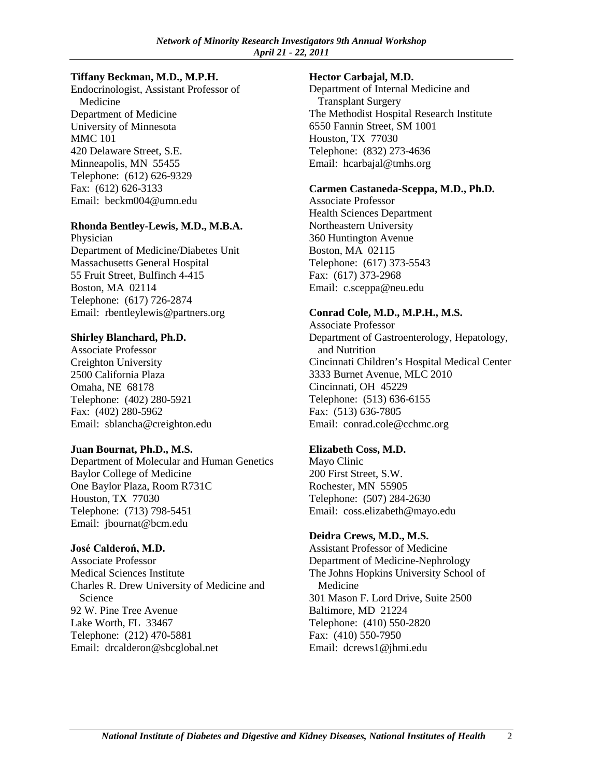### **Tiffany Beckman, M.D., M.P.H.**

Endocrinologist, Assistant Professor of Medicine Department of Medicine University of Minnesota MMC 101 420 Delaware Street, S.E. Minneapolis, MN 55455 Telephone: (612) 626-9329 Fax: (612) 626-3133 Email: beckm004@umn.edu

### **Rhonda Bentley-Lewis, M.D., M.B.A.**

Physician Department of Medicine/Diabetes Unit Massachusetts General Hospital 55 Fruit Street, Bulfinch 4-415 Boston, MA 02114 Telephone: (617) 726-2874 Email: rbentleylewis@partners.org

### **Shirley Blanchard, Ph.D.**

Associate Professor Creighton University 2500 California Plaza Omaha, NE 68178 Telephone: (402) 280-5921 Fax: (402) 280-5962 Email: sblancha@creighton.edu

# **Juan Bournat, Ph.D., M.S.**

Department of Molecular and Human Genetics Baylor College of Medicine One Baylor Plaza, Room R731C Houston, TX 77030 Telephone: (713) 798-5451 Email: jbournat@bcm.edu

# **José Calderoń, M.D.**

Associate Professor Medical Sciences Institute Charles R. Drew University of Medicine and Science 92 W. Pine Tree Avenue Lake Worth, FL 33467 Telephone: (212) 470-5881 Email: drcalderon@sbcglobal.net

### **Hector Carbajal, M.D.**

Department of Internal Medicine and Transplant Surgery The Methodist Hospital Research Institute 6550 Fannin Street, SM 1001 Houston, TX 77030 Telephone: (832) 273-4636 Email: hcarbajal@tmhs.org

### **Carmen Castaneda-Sceppa, M.D., Ph.D.**

Associate Professor Health Sciences Department Northeastern University 360 Huntington Avenue Boston, MA 02115 Telephone: (617) 373-5543 Fax: (617) 373-2968 Email: c.sceppa@neu.edu

# **Conrad Cole, M.D., M.P.H., M.S.**

Associate Professor Department of Gastroenterology, Hepatology, and Nutrition Cincinnati Children's Hospital Medical Center 3333 Burnet Avenue, MLC 2010 Cincinnati, OH 45229 Telephone: (513) 636-6155 Fax: (513) 636-7805 Email: conrad.cole@cchmc.org

# **Elizabeth Coss, M.D.**

Mayo Clinic 200 First Street, S.W. Rochester, MN 55905 Telephone: (507) 284-2630 Email: coss.elizabeth@mayo.edu

# **Deidra Crews, M.D., M.S.**

Assistant Professor of Medicine Department of Medicine-Nephrology The Johns Hopkins University School of Medicine 301 Mason F. Lord Drive, Suite 2500 Baltimore, MD 21224 Telephone: (410) 550-2820 Fax: (410) 550-7950 Email: dcrews1@jhmi.edu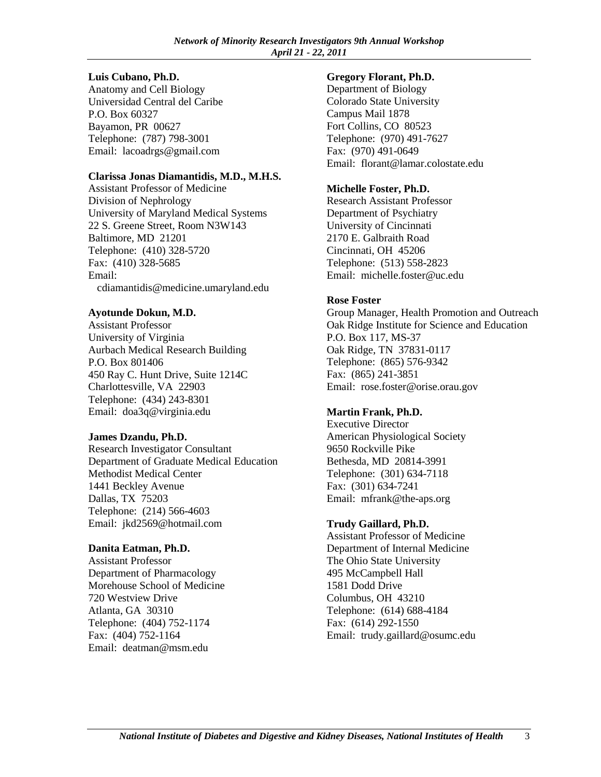#### **Luis Cubano, Ph.D.**

Anatomy and Cell Biology Universidad Central del Caribe P.O. Box 60327 Bayamon, PR 00627 Telephone: (787) 798-3001 Email: lacoadrgs@gmail.com

### **Clarissa Jonas Diamantidis, M.D., M.H.S.**

Assistant Professor of Medicine Division of Nephrology University of Maryland Medical Systems 22 S. Greene Street, Room N3W143 Baltimore, MD 21201 Telephone: (410) 328-5720 Fax: (410) 328-5685 Email: cdiamantidis@medicine.umaryland.edu

# **Ayotunde Dokun, M.D.**

Assistant Professor University of Virginia Aurbach Medical Research Building P.O. Box 801406 450 Ray C. Hunt Drive, Suite 1214C Charlottesville, VA 22903 Telephone: (434) 243-8301 Email: doa3q@virginia.edu

# **James Dzandu, Ph.D.**

Research Investigator Consultant Department of Graduate Medical Education Methodist Medical Center 1441 Beckley Avenue Dallas, TX 75203 Telephone: (214) 566-4603 Email: jkd2569@hotmail.com

# **Danita Eatman, Ph.D.**

Assistant Professor Department of Pharmacology Morehouse School of Medicine 720 Westview Drive Atlanta, GA 30310 Telephone: (404) 752-1174 Fax: (404) 752-1164 Email: deatman@msm.edu

### **Gregory Florant, Ph.D.**

Department of Biology Colorado State University Campus Mail 1878 Fort Collins, CO 80523 Telephone: (970) 491-7627 Fax: (970) 491-0649 Email: florant@lamar.colostate.edu

# **Michelle Foster, Ph.D.**

Research Assistant Professor Department of Psychiatry University of Cincinnati 2170 E. Galbraith Road Cincinnati, OH 45206 Telephone: (513) 558-2823 Email: michelle.foster@uc.edu

# **Rose Foster**

Group Manager, Health Promotion and Outreach Oak Ridge Institute for Science and Education P.O. Box 117, MS-37 Oak Ridge, TN 37831-0117 Telephone: (865) 576-9342 Fax: (865) 241-3851 Email: rose.foster@orise.orau.gov

# **Martin Frank, Ph.D.**

Executive Director American Physiological Society 9650 Rockville Pike Bethesda, MD 20814-3991 Telephone: (301) 634-7118 Fax: (301) 634-7241 Email: mfrank@the-aps.org

# **Trudy Gaillard, Ph.D.**

Assistant Professor of Medicine Department of Internal Medicine The Ohio State University 495 McCampbell Hall 1581 Dodd Drive Columbus, OH 43210 Telephone: (614) 688-4184 Fax: (614) 292-1550 Email: trudy.gaillard@osumc.edu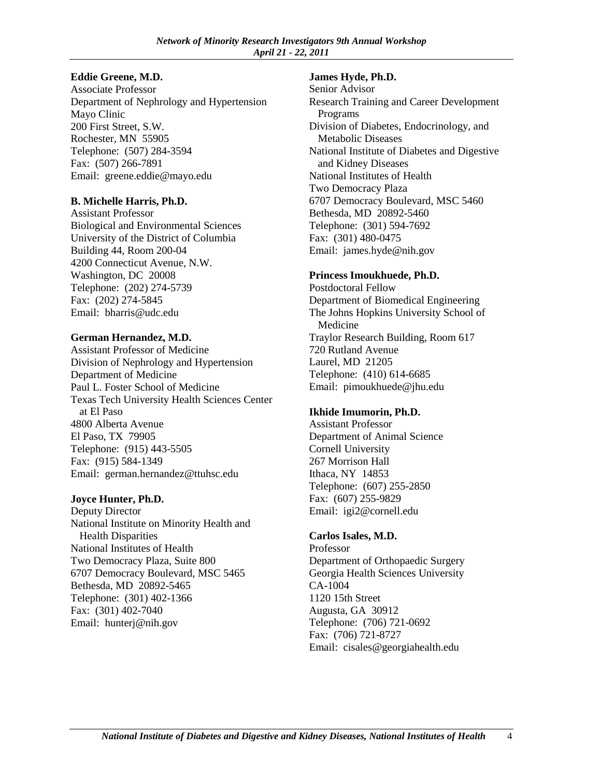# **Eddie Greene, M.D.**

Associate Professor Department of Nephrology and Hypertension Mayo Clinic 200 First Street, S.W. Rochester, MN 55905 Telephone: (507) 284-3594 Fax: (507) 266-7891 Email: greene.eddie@mayo.edu

# **B. Michelle Harris, Ph.D.**

Assistant Professor Biological and Environmental Sciences University of the District of Columbia Building 44, Room 200-04 4200 Connecticut Avenue, N.W. Washington, DC 20008 Telephone: (202) 274-5739 Fax: (202) 274-5845 Email: bharris@udc.edu

# **German Hernandez, M.D.**

Assistant Professor of Medicine Division of Nephrology and Hypertension Department of Medicine Paul L. Foster School of Medicine Texas Tech University Health Sciences Center at El Paso 4800 Alberta Avenue El Paso, TX 79905 Telephone: (915) 443-5505 Fax: (915) 584-1349 Email: german.hernandez@ttuhsc.edu

# **Joyce Hunter, Ph.D.**

Deputy Director National Institute on Minority Health and Health Disparities National Institutes of Health Two Democracy Plaza, Suite 800 6707 Democracy Boulevard, MSC 5465 Bethesda, MD 20892-5465 Telephone: (301) 402-1366 Fax: (301) 402-7040 Email: hunterj@nih.gov

### **James Hyde, Ph.D.**

Senior Advisor Research Training and Career Development Programs Division of Diabetes, Endocrinology, and Metabolic Diseases National Institute of Diabetes and Digestive and Kidney Diseases National Institutes of Health Two Democracy Plaza 6707 Democracy Boulevard, MSC 5460 Bethesda, MD 20892-5460 Telephone: (301) 594-7692 Fax: (301) 480-0475 Email: james.hyde@nih.gov

# **Princess Imoukhuede, Ph.D.**

Postdoctoral Fellow Department of Biomedical Engineering The Johns Hopkins University School of Medicine Traylor Research Building, Room 617 720 Rutland Avenue Laurel, MD 21205 Telephone: (410) 614-6685 Email: pimoukhuede@jhu.edu

# **Ikhide Imumorin, Ph.D.**

Assistant Professor Department of Animal Science Cornell University 267 Morrison Hall Ithaca, NY 14853 Telephone: (607) 255-2850 Fax: (607) 255-9829 Email: igi2@cornell.edu

# **Carlos Isales, M.D.**

Professor Department of Orthopaedic Surgery Georgia Health Sciences University CA-1004 1120 15th Street Augusta, GA 30912 Telephone: (706) 721-0692 Fax: (706) 721-8727 Email: cisales@georgiahealth.edu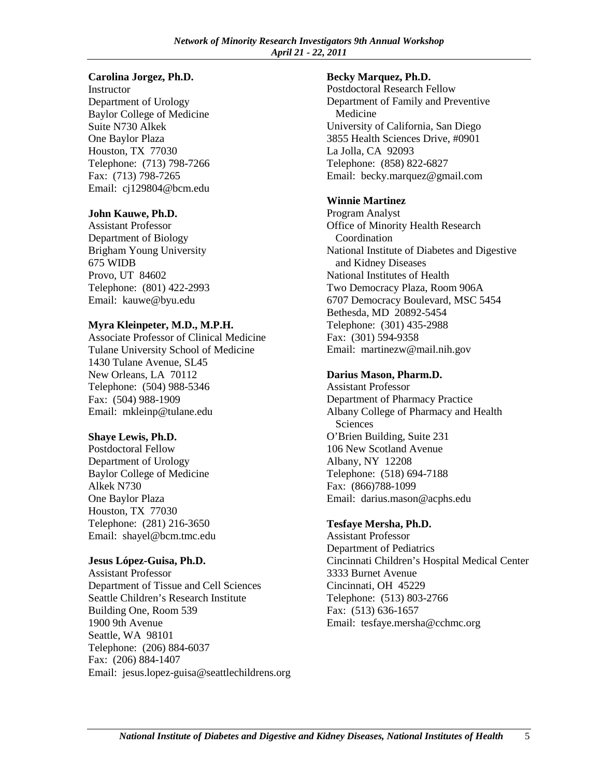#### **Carolina Jorgez, Ph.D.**

**Instructor** Department of Urology Baylor College of Medicine Suite N730 Alkek One Baylor Plaza Houston, TX 77030 Telephone: (713) 798-7266 Fax: (713) 798-7265 Email: cj129804@bcm.edu

### **John Kauwe, Ph.D.**

Assistant Professor Department of Biology Brigham Young University 675 WIDB Provo, UT 84602 Telephone: (801) 422-2993 Email: kauwe@byu.edu

# **Myra Kleinpeter, M.D., M.P.H.**

Associate Professor of Clinical Medicine Tulane University School of Medicine 1430 Tulane Avenue, SL45 New Orleans, LA 70112 Telephone: (504) 988-5346 Fax: (504) 988-1909 Email: mkleinp@tulane.edu

# **Shaye Lewis, Ph.D.**

Postdoctoral Fellow Department of Urology Baylor College of Medicine Alkek N730 One Baylor Plaza Houston, TX 77030 Telephone: (281) 216-3650 Email: shayel@bcm.tmc.edu

# **Jesus López-Guisa, Ph.D.**

Assistant Professor Department of Tissue and Cell Sciences Seattle Children's Research Institute Building One, Room 539 1900 9th Avenue Seattle, WA 98101 Telephone: (206) 884-6037 Fax: (206) 884-1407 Email: jesus.lopez-guisa@seattlechildrens.org

### **Becky Marquez, Ph.D.**

Postdoctoral Research Fellow Department of Family and Preventive Medicine University of California, San Diego 3855 Health Sciences Drive, #0901 La Jolla, CA 92093 Telephone: (858) 822-6827 Email: becky.marquez@gmail.com

# **Winnie Martinez**

Program Analyst Office of Minority Health Research Coordination National Institute of Diabetes and Digestive and Kidney Diseases National Institutes of Health Two Democracy Plaza, Room 906A 6707 Democracy Boulevard, MSC 5454 Bethesda, MD 20892-5454 Telephone: (301) 435-2988 Fax: (301) 594-9358 Email: martinezw@mail.nih.gov

# **Darius Mason, Pharm.D.**

Assistant Professor Department of Pharmacy Practice Albany College of Pharmacy and Health Sciences O'Brien Building, Suite 231 106 New Scotland Avenue Albany, NY 12208 Telephone: (518) 694-7188 Fax: (866)788-1099 Email: darius.mason@acphs.edu

# **Tesfaye Mersha, Ph.D.**

Assistant Professor Department of Pediatrics Cincinnati Children's Hospital Medical Center 3333 Burnet Avenue Cincinnati, OH 45229 Telephone: (513) 803-2766 Fax: (513) 636-1657 Email: tesfaye.mersha@cchmc.org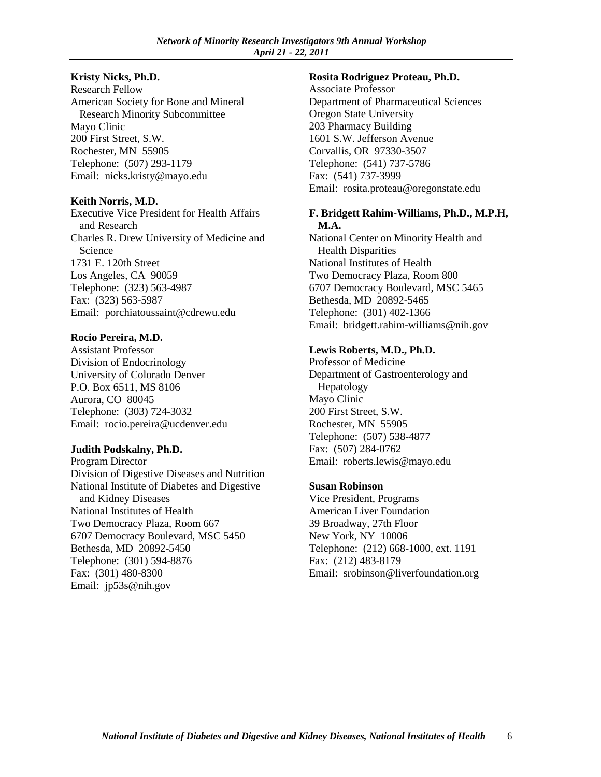### **Kristy Nicks, Ph.D.**

Research Fellow American Society for Bone and Mineral Research Minority Subcommittee Mayo Clinic 200 First Street, S.W. Rochester, MN 55905 Telephone: (507) 293-1179 Email: nicks.kristy@mayo.edu

### **Keith Norris, M.D.**

Executive Vice President for Health Affairs and Research Charles R. Drew University of Medicine and **Science** 1731 E. 120th Street Los Angeles, CA 90059 Telephone: (323) 563-4987 Fax: (323) 563-5987 Email: porchiatoussaint@cdrewu.edu

### **Rocio Pereira, M.D.**

Assistant Professor Division of Endocrinology University of Colorado Denver P.O. Box 6511, MS 8106 Aurora, CO 80045 Telephone: (303) 724-3032 Email: rocio.pereira@ucdenver.edu

#### **Judith Podskalny, Ph.D.**

Program Director Division of Digestive Diseases and Nutrition National Institute of Diabetes and Digestive and Kidney Diseases National Institutes of Health Two Democracy Plaza, Room 667 6707 Democracy Boulevard, MSC 5450 Bethesda, MD 20892-5450 Telephone: (301) 594-8876 Fax: (301) 480-8300 Email: jp53s@nih.gov

#### **Rosita Rodriguez Proteau, Ph.D.**

Associate Professor Department of Pharmaceutical Sciences Oregon State University 203 Pharmacy Building 1601 S.W. Jefferson Avenue Corvallis, OR 97330-3507 Telephone: (541) 737-5786 Fax: (541) 737-3999 Email: rosita.proteau@oregonstate.edu

#### **F. Bridgett Rahim-Williams, Ph.D., M.P.H, M.A.**

National Center on Minority Health and Health Disparities National Institutes of Health Two Democracy Plaza, Room 800 6707 Democracy Boulevard, MSC 5465 Bethesda, MD 20892-5465 Telephone: (301) 402-1366 Email: bridgett.rahim-williams@nih.gov

### **Lewis Roberts, M.D., Ph.D.**

Professor of Medicine Department of Gastroenterology and Hepatology Mayo Clinic 200 First Street, S.W. Rochester, MN 55905 Telephone: (507) 538-4877 Fax: (507) 284-0762 Email: roberts.lewis@mayo.edu

# **Susan Robinson**

Vice President, Programs American Liver Foundation 39 Broadway, 27th Floor New York, NY 10006 Telephone: (212) 668-1000, ext. 1191 Fax: (212) 483-8179 Email: srobinson@liverfoundation.org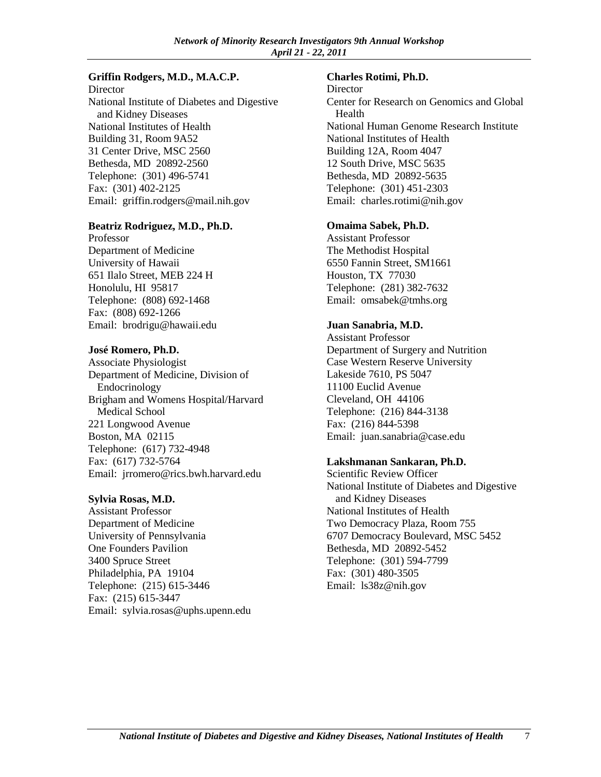#### **Griffin Rodgers, M.D., M.A.C.P.**

**Director** National Institute of Diabetes and Digestive and Kidney Diseases National Institutes of Health Building 31, Room 9A52 31 Center Drive, MSC 2560 Bethesda, MD 20892-2560 Telephone: (301) 496-5741 Fax: (301) 402-2125 Email: griffin.rodgers@mail.nih.gov

#### **Beatriz Rodriguez, M.D., Ph.D.**

Professor Department of Medicine University of Hawaii 651 Ilalo Street, MEB 224 H Honolulu, HI 95817 Telephone: (808) 692-1468 Fax: (808) 692-1266 Email: brodrigu@hawaii.edu

#### **José Romero, Ph.D.**

Associate Physiologist Department of Medicine, Division of Endocrinology Brigham and Womens Hospital/Harvard Medical School 221 Longwood Avenue Boston, MA 02115 Telephone: (617) 732-4948 Fax: (617) 732-5764 Email: jrromero@rics.bwh.harvard.edu

#### **Sylvia Rosas, M.D.**

Assistant Professor Department of Medicine University of Pennsylvania One Founders Pavilion 3400 Spruce Street Philadelphia, PA 19104 Telephone: (215) 615-3446 Fax: (215) 615-3447 Email: sylvia.rosas@uphs.upenn.edu

#### **Charles Rotimi, Ph.D.**

**Director** Center for Research on Genomics and Global Health National Human Genome Research Institute National Institutes of Health Building 12A, Room 4047 12 South Drive, MSC 5635 Bethesda, MD 20892-5635 Telephone: (301) 451-2303 Email: charles.rotimi@nih.gov

#### **Omaima Sabek, Ph.D.**

Assistant Professor The Methodist Hospital 6550 Fannin Street, SM1661 Houston, TX 77030 Telephone: (281) 382-7632 Email: omsabek@tmhs.org

### **Juan Sanabria, M.D.**

Assistant Professor Department of Surgery and Nutrition Case Western Reserve University Lakeside 7610, PS 5047 11100 Euclid Avenue Cleveland, OH 44106 Telephone: (216) 844-3138 Fax: (216) 844-5398 Email: juan.sanabria@case.edu

#### **Lakshmanan Sankaran, Ph.D.**

Scientific Review Officer National Institute of Diabetes and Digestive and Kidney Diseases National Institutes of Health Two Democracy Plaza, Room 755 6707 Democracy Boulevard, MSC 5452 Bethesda, MD 20892-5452 Telephone: (301) 594-7799 Fax: (301) 480-3505 Email: ls38z@nih.gov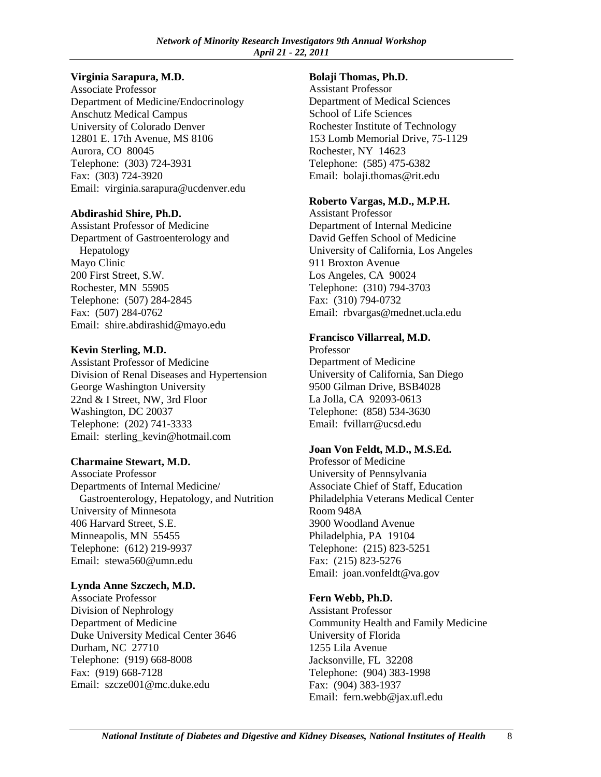### **Virginia Sarapura, M.D.**

Associate Professor Department of Medicine/Endocrinology Anschutz Medical Campus University of Colorado Denver 12801 E. 17th Avenue, MS 8106 Aurora, CO 80045 Telephone: (303) 724-3931 Fax: (303) 724-3920 Email: virginia.sarapura@ucdenver.edu

### **Abdirashid Shire, Ph.D.**

Assistant Professor of Medicine Department of Gastroenterology and Hepatology Mayo Clinic 200 First Street, S.W. Rochester, MN 55905 Telephone: (507) 284-2845 Fax: (507) 284-0762 Email: shire.abdirashid@mayo.edu

### **Kevin Sterling, M.D.**

Assistant Professor of Medicine Division of Renal Diseases and Hypertension George Washington University 22nd & I Street, NW, 3rd Floor Washington, DC 20037 Telephone: (202) 741-3333 Email: sterling\_kevin@hotmail.com

# **Charmaine Stewart, M.D.**

Associate Professor Departments of Internal Medicine/ Gastroenterology, Hepatology, and Nutrition University of Minnesota 406 Harvard Street, S.E. Minneapolis, MN 55455 Telephone: (612) 219-9937 Email: stewa560@umn.edu

# **Lynda Anne Szczech, M.D.**

Associate Professor Division of Nephrology Department of Medicine Duke University Medical Center 3646 Durham, NC 27710 Telephone: (919) 668-8008 Fax: (919) 668-7128 Email: szcze001@mc.duke.edu

#### **Bolaji Thomas, Ph.D.**

Assistant Professor Department of Medical Sciences School of Life Sciences Rochester Institute of Technology 153 Lomb Memorial Drive, 75-1129 Rochester, NY 14623 Telephone: (585) 475-6382 Email: bolaji.thomas@rit.edu

### **Roberto Vargas, M.D., M.P.H.**

Assistant Professor Department of Internal Medicine David Geffen School of Medicine University of California, Los Angeles 911 Broxton Avenue Los Angeles, CA 90024 Telephone: (310) 794-3703 Fax: (310) 794-0732 Email: rbvargas@mednet.ucla.edu

### **Francisco Villarreal, M.D.**

Professor Department of Medicine University of California, San Diego 9500 Gilman Drive, BSB4028 La Jolla, CA 92093-0613 Telephone: (858) 534-3630 Email: fvillarr@ucsd.edu

#### **Joan Von Feldt, M.D., M.S.Ed.**

Professor of Medicine University of Pennsylvania Associate Chief of Staff, Education Philadelphia Veterans Medical Center Room 948A 3900 Woodland Avenue Philadelphia, PA 19104 Telephone: (215) 823-5251 Fax: (215) 823-5276 Email: joan.vonfeldt@va.gov

# **Fern Webb, Ph.D.**

Assistant Professor Community Health and Family Medicine University of Florida 1255 Lila Avenue Jacksonville, FL 32208 Telephone: (904) 383-1998 Fax: (904) 383-1937 Email: fern.webb@jax.ufl.edu